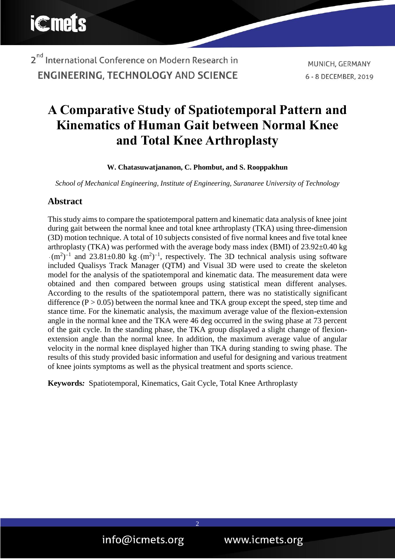**i**Cmets

2<sup>nd</sup> International Conference on Modern Research in **ENGINEERING, TECHNOLOGY AND SCIENCE** 

MUNICH, GERMANY 6 - 8 DECEMBER, 2019

# **A Comparative Study of Spatiotemporal Pattern and Kinematics of Human Gait between Normal Knee and Total Knee Arthroplasty**

**W. Chatasuwatjananon, C. Phombut, and S. Rooppakhun**

*School of Mechanical Engineering, Institute of Engineering, Suranaree University of Technology*

## **Abstract**

This study aims to compare the spatiotemporal pattern and kinematic data analysis of knee joint during gait between the normal knee and total knee arthroplasty (TKA) using three-dimension (3D) motion technique. A total of 10 subjects consisted of five normal knees and five total knee arthroplasty (TKA) was performed with the average body mass index (BMI) of 23.92±0.40 kg  $(m^2)^{-1}$  and  $23.81 \pm 0.80$  kg $(m^2)^{-1}$ , respectively. The 3D technical analysis using software included Qualisys Track Manager (QTM) and Visual 3D were used to create the skeleton model for the analysis of the spatiotemporal and kinematic data. The measurement data were obtained and then compared between groups using statistical mean different analyses. According to the results of the spatiotemporal pattern, there was no statistically significant difference  $(P > 0.05)$  between the normal knee and TKA group except the speed, step time and stance time. For the kinematic analysis, the maximum average value of the flexion-extension angle in the normal knee and the TKA were 46 deg occurred in the swing phase at 73 percent of the gait cycle. In the standing phase, the TKA group displayed a slight change of flexionextension angle than the normal knee. In addition, the maximum average value of angular velocity in the normal knee displayed higher than TKA during standing to swing phase. The results of this study provided basic information and useful for designing and various treatment of knee joints symptoms as well as the physical treatment and sports science.

2

**Keywords***:* Spatiotemporal, Kinematics, Gait Cycle, Total Knee Arthroplasty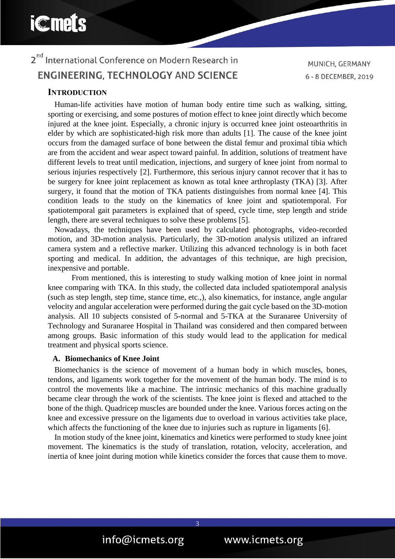MUNICH, GERMANY 6 - 8 DECEMBER, 2019

### **INTRODUCTION**

Human-life activities have motion of human body entire time such as walking, sitting, sporting or exercising, and some postures of motion effect to knee joint directly which become injured at the knee joint. Especially, a chronic injury is occurred knee joint osteoarthritis in elder by which are sophisticated-high risk more than adults [1]. The cause of the knee joint occurs from the damaged surface of bone between the distal femur and proximal tibia which are from the accident and wear aspect toward painful. In addition, solutions of treatment have different levels to treat until medication, injections, and surgery of knee joint from normal to serious injuries respectively [2]. Furthermore, this serious injury cannot recover that it has to be surgery for knee joint replacement as known as total knee arthroplasty (TKA) [3]. After surgery, it found that the motion of TKA patients distinguishes from normal knee [4]. This condition leads to the study on the kinematics of knee joint and spatiotemporal. For spatiotemporal gait parameters is explained that of speed, cycle time, step length and stride length, there are several techniques to solve these problems [5].

Nowadays, the techniques have been used by calculated photographs, video-recorded motion, and 3D-motion analysis. Particularly, the 3D-motion analysis utilized an infrared camera system and a reflective marker. Utilizing this advanced technology is in both facet sporting and medical. In addition, the advantages of this technique, are high precision, inexpensive and portable.

From mentioned, this is interesting to study walking motion of knee joint in normal knee comparing with TKA. In this study, the collected data included spatiotemporal analysis (such as step length, step time, stance time, etc.,), also kinematics, for instance, angle angular velocity and angular acceleration were performed during the gait cycle based on the 3D-motion analysis. All 10 subjects consisted of 5-normal and 5-TKA at the Suranaree University of Technology and Suranaree Hospital in Thailand was considered and then compared between among groups. Basic information of this study would lead to the application for medical treatment and physical sports science.

#### **A. Biomechanics of Knee Joint**

Biomechanics is the science of movement of a human body in which muscles, bones, tendons, and ligaments work together for the movement of the human body. The mind is to control the movements like a machine. The intrinsic mechanics of this machine gradually became clear through the work of the scientists. The knee joint is flexed and attached to the bone of the thigh. Quadricep muscles are bounded under the knee. Various forces acting on the knee and excessive pressure on the ligaments due to overload in various activities take place, which affects the functioning of the knee due to injuries such as rupture in ligaments [6].

In motion study of the knee joint, kinematics and kinetics were performed to study knee joint movement. The kinematics is the study of translation, rotation, velocity, acceleration, and inertia of knee joint during motion while kinetics consider the forces that cause them to move.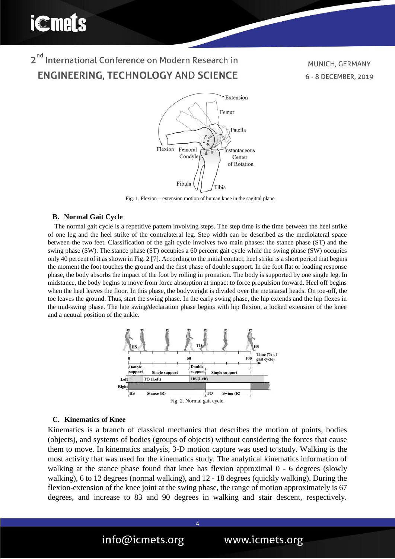MUNICH, GERMANY 6 - 8 DECEMBER, 2019



Fig. 1. Flexion – extension motion of human knee in the sagittal plane.

#### **B. Normal Gait Cycle**

**i**Cmets

The normal gait cycle is a repetitive pattern involving steps. The step time is the time between the heel strike of one leg and the heel strike of the contralateral leg. Step width can be described as the mediolateral space between the two feet. Classification of the gait cycle involves two main phases: the stance phase (ST) and the swing phase (SW). The stance phase (ST) occupies a 60 percent gait cycle while the swing phase (SW) occupies only 40 percent of it as shown in Fig. 2 [7]. According to the initial contact, heel strike is a short period that begins the moment the foot touches the ground and the first phase of double support. In the foot flat or loading response phase, the body absorbs the impact of the foot by rolling in pronation. The body is supported by one single leg. In midstance, the body begins to move from force absorption at impact to force propulsion forward. Heel off begins when the heel leaves the floor. In this phase, the bodyweight is divided over the metatarsal heads. On toe-off, the toe leaves the ground. Thus, start the swing phase. In the early swing phase, the hip extends and the hip flexes in the mid-swing phase. The late swing/declaration phase begins with hip flexion, a locked extension of the knee and a neutral position of the ankle.



#### **C. Kinematics of Knee**

Kinematics is a branch of classical mechanics that describes the motion of points, bodies (objects), and systems of bodies (groups of objects) without considering the forces that cause them to move. In kinematics analysis, 3-D motion capture was used to study. Walking is the most activity that was used for the kinematics study. The analytical kinematics information of walking at the stance phase found that knee has flexion approximal  $0 - 6$  degrees (slowly walking), 6 to 12 degrees (normal walking), and 12 - 18 degrees (quickly walking). During the flexion-extension of the knee joint at the swing phase, the range of motion approximately is 67 degrees, and increase to 83 and 90 degrees in walking and stair descent, respectively.

4

www.icmets.org

info@icmets.org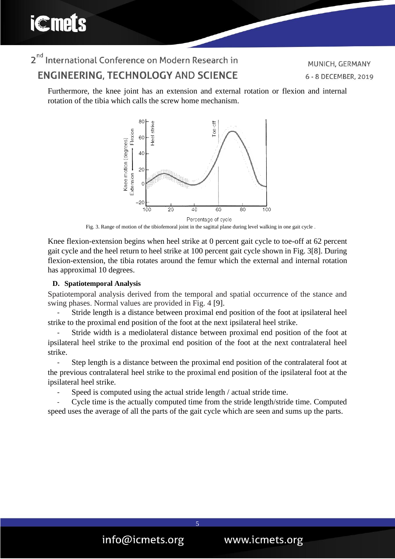**i**Cmets

MUNICH, GERMANY 6 - 8 DECEMBER, 2019

Furthermore, the knee joint has an extension and external rotation or flexion and internal rotation of the tibia which calls the screw home mechanism.



Fig. 3. Range of motion of the tibiofemoral joint in the sagittal plane during level walking in one gait cycle .

Knee flexion-extension begins when heel strike at 0 percent gait cycle to toe-off at 62 percent gait cycle and the heel return to heel strike at 100 percent gait cycle shown in Fig. 3[8]. During flexion-extension, the tibia rotates around the femur which the external and internal rotation has approximal 10 degrees.

#### **D. Spatiotemporal Analysis**

Spatiotemporal analysis derived from the temporal and spatial occurrence of the stance and swing phases. Normal values are provided in Fig. 4 [9].

Stride length is a distance between proximal end position of the foot at ipsilateral heel strike to the proximal end position of the foot at the next ipsilateral heel strike.

Stride width is a mediolateral distance between proximal end position of the foot at ipsilateral heel strike to the proximal end position of the foot at the next contralateral heel strike.

Step length is a distance between the proximal end position of the contralateral foot at the previous contralateral heel strike to the proximal end position of the ipsilateral foot at the ipsilateral heel strike.

Speed is computed using the actual stride length / actual stride time.

- Cycle time is the actually computed time from the stride length/stride time. Computed speed uses the average of all the parts of the gait cycle which are seen and sums up the parts.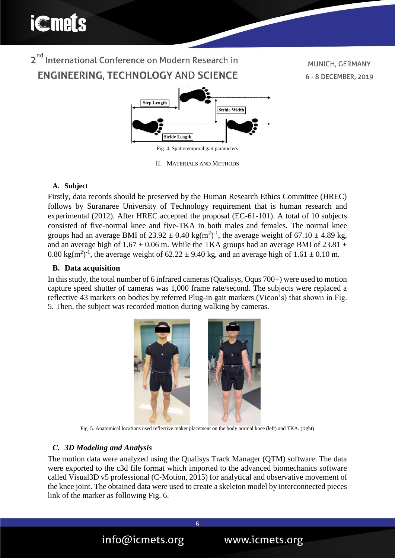

**Stride Length** 

Fig. 4. Spatiotemporal gait parameters II. MATERIALS AND METHODS

**A. Subject**

Firstly, data records should be preserved by the Human Research Ethics Committee (HREC) follows by Suranaree University of Technology requirement that is human research and experimental (2012). After HREC accepted the proposal (EC-61-101). A total of 10 subjects consisted of five-normal knee and five-TKA in both males and females. The normal knee groups had an average BMI of  $23.92 \pm 0.40 \text{ kg}(\text{m}^2)^{-1}$ , the average weight of 67.10  $\pm$  4.89 kg, and an average high of  $1.67 \pm 0.06$  m. While the TKA groups had an average BMI of 23.81  $\pm$ 0.80 kg(m<sup>2</sup>)<sup>-1</sup>, the average weight of 62.22  $\pm$  9.40 kg, and an average high of 1.61  $\pm$  0.10 m.

### **B. Data acquisition**

In this study, the total number of 6 infrared cameras (Qualisys, Oqus 700+) were used to motion capture speed shutter of cameras was 1,000 frame rate/second. The subjects were replaced a reflective 43 markers on bodies by referred Plug-in gait markers (Vicon's) that shown in Fig. 5. Then, the subject was recorded motion during walking by cameras.



Fig. 5. Anatomical locations used reflective maker placement on the body normal knee (left) and TKA. (right)

## *C. 3D Modeling and Analysis*

The motion data were analyzed using the Qualisys Track Manager (QTM) software. The data were exported to the c3d file format which imported to the advanced biomechanics software called Visual3D v5 professional (C-Motion, 2015) for analytical and observative movement of the knee joint. The obtained data were used to create a skeleton model by interconnected pieces link of the marker as following Fig. 6.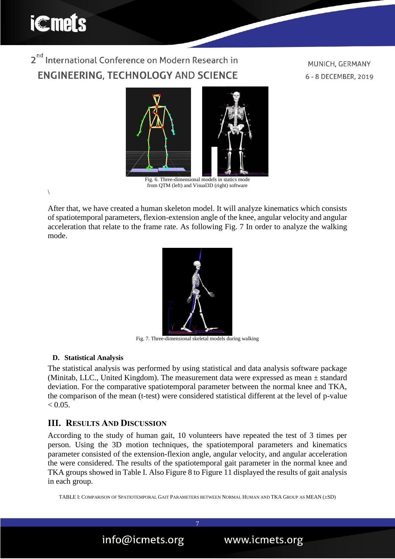

MUNICH, GERMANY 6 - 8 DECEMBER, 2019



from QTM (left) and Visual3D (right) software

 $\overline{\phantom{a}}$ 

After that, we have created a human skeleton model. It will analyze kinematics which consists of spatiotemporal parameters, flexion-extension angle of the knee, angular velocity and angular acceleration that relate to the frame rate. As following Fig. 7 In order to analyze the walking mode.



Fig. 7. Three-dimensional skeletal models during walking

#### **D. Statistical Analysis**

The statistical analysis was performed by using statistical and data analysis software package (Minitab, LLC., United Kingdom). The measurement data were expressed as mean ± standard deviation. For the comparative spatiotemporal parameter between the normal knee and TKA, the comparison of the mean (t-test) were considered statistical different at the level of p-value  $< 0.05$ .

## **III. RESULTS AND DISCUSSION**

info@icmets.org

According to the study of human gait, 10 volunteers have repeated the test of 3 times per person. Using the 3D motion techniques, the spatiotemporal parameters and kinematics parameter consisted of the extension-flexion angle, angular velocity, and angular acceleration the were considered. The results of the spatiotemporal gait parameter in the normal knee and TKA groups showed in Table I. Also Figure 8 to Figure 11 displayed the results of gait analysis in each group.

TABLE I: COMPARISON OF SPATIOTEMPORAL GAIT PARAMETERS BETWEEN NORMAL HUMAN AND TKA GROUP AS MEAN (±SD)

 $\overline{7}$ 

www.icmets.org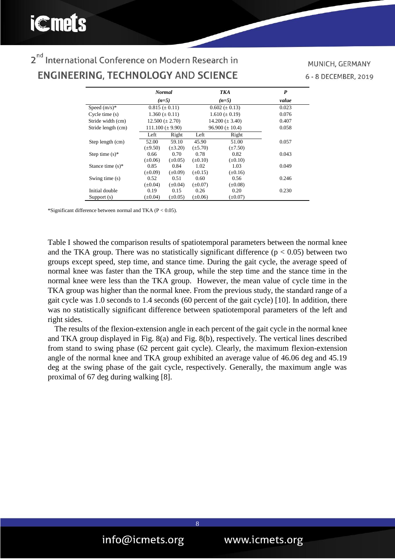## MUNICH, GERMANY 6 - 8 DECEMBER, 2019

|                     | <b>Normal</b>         |              | TKA                  |              | P     |
|---------------------|-----------------------|--------------|----------------------|--------------|-------|
|                     | $(n=5)$               |              | $(n=5)$              |              | value |
| Speed $(m/s)^*$     | $0.815 \ (\pm 0.11)$  |              | $0.602 \ (\pm 0.13)$ |              | 0.023 |
| Cycle time $(s)$    | $1.360 \ (\pm 0.11)$  |              | $1.610 \ (\pm 0.19)$ |              | 0.076 |
| Stride width (cm)   | $12.500 \ (\pm 2.70)$ |              | $14.200 (\pm 3.40)$  |              | 0.407 |
| Stride length (cm)  | $111.100 (\pm 9.90)$  |              | $96.900 (\pm 10.4)$  |              | 0.058 |
|                     | Left                  | Right        | Left                 | Right        |       |
| Step length (cm)    | 52.00                 | 59.10        | 45.90                | 51.00        | 0.057 |
|                     | $(\pm 9.50)$          | $(\pm 3.20)$ | $(\pm 5.70)$         | $(\pm 7.50)$ |       |
| Step time $(s)^*$   | 0.66                  | 0.70         | 0.78                 | 0.82         | 0.043 |
|                     | $(\pm 0.06)$          | $(\pm 0.05)$ | $(\pm 0.10)$         | $(\pm 0.10)$ |       |
| Stance time $(s)^*$ | 0.85                  | 0.84         | 1.02                 | 1.03         | 0.049 |
|                     | $(\pm 0.09)$          | $(\pm 0.09)$ | $(\pm 0.15)$         | $(\pm 0.16)$ |       |
| Swing time $(s)$    | 0.52                  | 0.51         | 0.60                 | 0.56         | 0.246 |
|                     | $(\pm 0.04)$          | $(\pm 0.04)$ | $(\pm 0.07)$         | $(\pm 0.08)$ |       |
| Initial double      | 0.19                  | 0.15         | 0.26                 | 0.20         | 0.230 |
| Support $(s)$       | $(\pm 0.04)$          | $(\pm 0.05)$ | $(\pm 0.06)$         | $(\pm 0.07)$ |       |

\*Significant difference between normal and TKA (P < 0.05).

Table I showed the comparison results of spatiotemporal parameters between the normal knee and the TKA group. There was no statistically significant difference ( $p < 0.05$ ) between two groups except speed, step time, and stance time. During the gait cycle, the average speed of normal knee was faster than the TKA group, while the step time and the stance time in the normal knee were less than the TKA group. However, the mean value of cycle time in the TKA group was higher than the normal knee. From the previous study, the standard range of a gait cycle was 1.0 seconds to 1.4 seconds (60 percent of the gait cycle) [10]. In addition, there was no statistically significant difference between spatiotemporal parameters of the left and right sides.

The results of the flexion-extension angle in each percent of the gait cycle in the normal knee and TKA group displayed in Fig. 8(a) and Fig. 8(b), respectively. The vertical lines described from stand to swing phase (62 percent gait cycle). Clearly, the maximum flexion-extension angle of the normal knee and TKA group exhibited an average value of 46.06 deg and 45.19 deg at the swing phase of the gait cycle, respectively. Generally, the maximum angle was proximal of 67 deg during walking [8].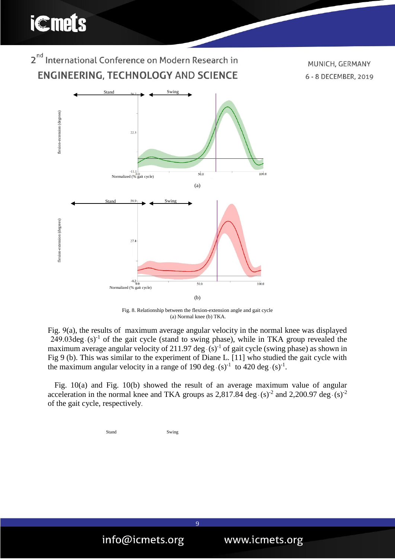

MUNICH, GERMANY 6 - 8 DECEMBER, 2019

Fig. 8. Relationship between the flexion-extension angle and gait cycle (a) Normal knee (b) TKA.

Fig. 9(a), the results of maximum average angular velocity in the normal knee was displayed 249.03deg $($ s)<sup>-1</sup> of the gait cycle (stand to swing phase), while in TKA group revealed the maximum average angular velocity of 211.97 deg $(5)^{-1}$  of gait cycle (swing phase) as shown in Fig 9 (b). This was similar to the experiment of Diane L. [11] who studied the gait cycle with the maximum angular velocity in a range of 190 deg $\cdot$  (s)<sup>-1</sup> to 420 deg $\cdot$  (s)<sup>-1</sup>.

Fig. 10(a) and Fig. 10(b) showed the result of an average maximum value of angular acceleration in the normal knee and TKA groups as 2,817.84 deg  $\cdot$  (s)<sup>-2</sup> and 2,200.97 deg  $\cdot$  (s)<sup>-2</sup> of the gait cycle, respectively.

```
Stand
                Swing
```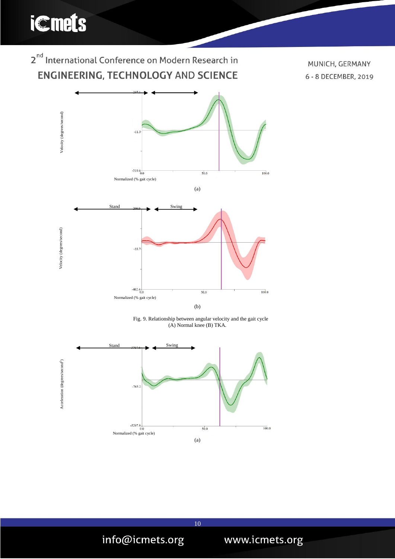



MUNICH, GERMANY 6 - 8 DECEMBER, 2019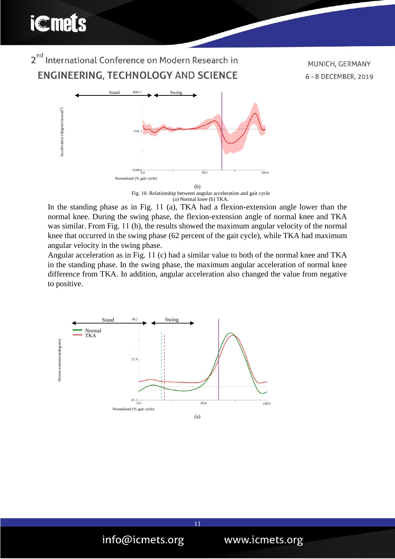

**i**Cmets

Fig. 10. Relationship between angular acceleration and gait cycle (a) Normal knee (b) TKA.

In the standing phase as in Fig. 11 (a), TKA had a flexion-extension angle lower than the normal knee. During the swing phase, the flexion-extension angle of normal knee and TKA was similar. From Fig. 11 (b), the results showed the maximum angular velocity of the normal knee that occurred in the swing phase (62 percent of the gait cycle), while TKA had maximum angular velocity in the swing phase.

Angular acceleration as in Fig. 11 (c) had a similar value to both of the normal knee and TKA in the standing phase. In the swing phase, the maximum angular acceleration of normal knee difference from TKA. In addition, angular acceleration also changed the value from negative to positive.

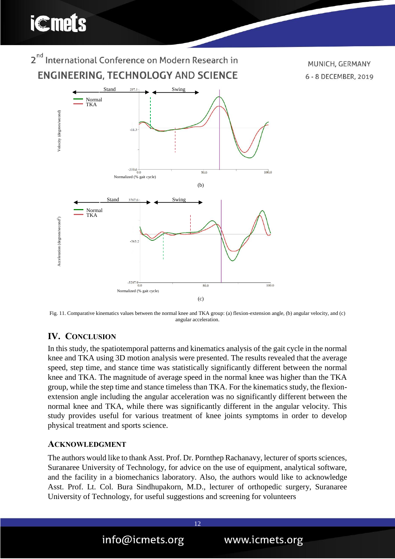

Fig. 11. Comparative kinematics values between the normal knee and TKA group: (a) flexion-extension angle, (b) angular velocity, and (c) angular acceleration.

## **IV. CONCLUSION**

In this study, the spatiotemporal patterns and kinematics analysis of the gait cycle in the normal knee and TKA using 3D motion analysis were presented. The results revealed that the average speed, step time, and stance time was statistically significantly different between the normal knee and TKA. The magnitude of average speed in the normal knee was higher than the TKA group, while the step time and stance timeless than TKA. For the kinematics study, the flexionextension angle including the angular acceleration was no significantly different between the normal knee and TKA, while there was significantly different in the angular velocity. This study provides useful for various treatment of knee joints symptoms in order to develop physical treatment and sports science.

### **ACKNOWLEDGMENT**

The authors would like to thank Asst. Prof. Dr. Pornthep Rachanavy, lecturer of sports sciences, Suranaree University of Technology, for advice on the use of equipment, analytical software, and the facility in a biomechanics laboratory. Also, the authors would like to acknowledge Asst. Prof. Lt. Col. Bura Sindhupakorn, M.D., lecturer of orthopedic surgery, Suranaree University of Technology, for useful suggestions and screening for volunteers